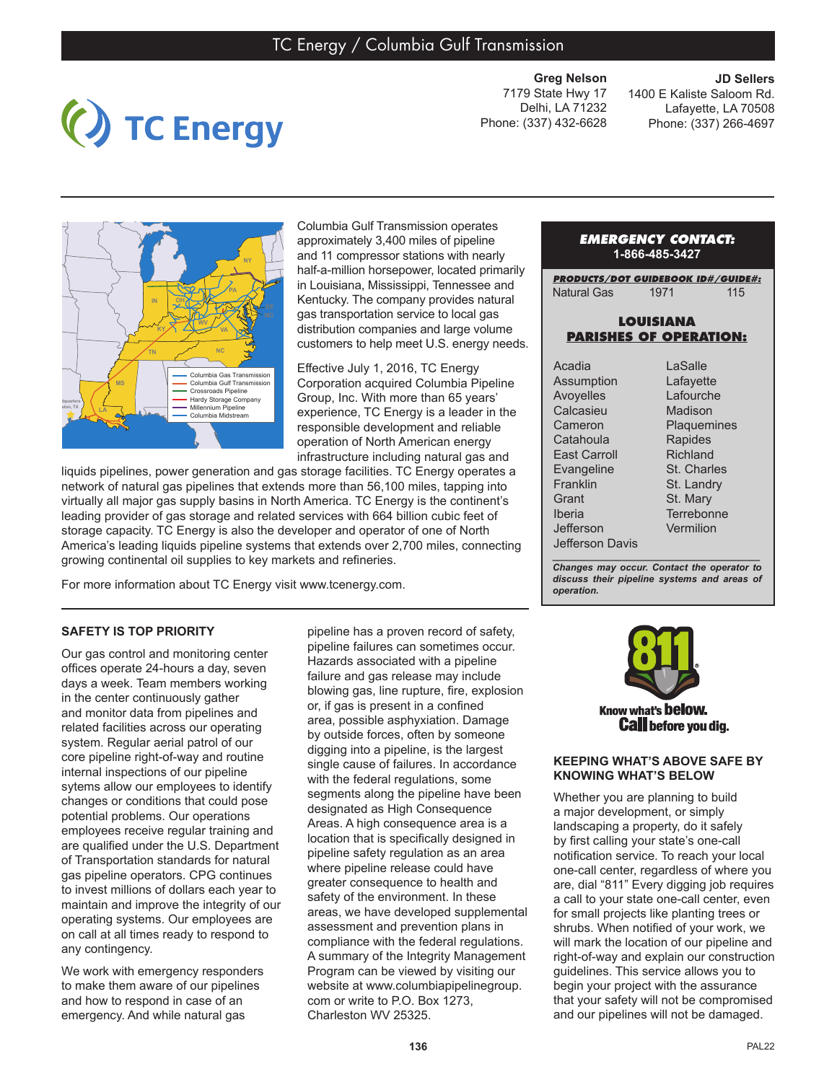TC Energy

**Greg Nelson**  7179 State Hwy 17 Delhi, LA 71232 Phone: (337) 432-6628

**JD Sellers** 1400 E Kaliste Saloom Rd. Lafayette, LA 70508 Phone: (337) 266-4697



Columbia Gulf Transmission operates approximately 3,400 miles of pipeline and 11 compressor stations with nearly half-a-million horsepower, located primarily in Louisiana, Mississippi, Tennessee and Kentucky. The company provides natural gas transportation service to local gas distribution companies and large volume customers to help meet U.S. energy needs.

Effective July 1, 2016, TC Energy Corporation acquired Columbia Pipeline Group, Inc. With more than 65 years' experience, TC Energy is a leader in the responsible development and reliable operation of North American energy infrastructure including natural gas and

liquids pipelines, power generation and gas storage facilities. TC Energy operates a network of natural gas pipelines that extends more than 56,100 miles, tapping into virtually all major gas supply basins in North America. TC Energy is the continent's leading provider of gas storage and related services with 664 billion cubic feet of storage capacity. TC Energy is also the developer and operator of one of North America's leading liquids pipeline systems that extends over 2,700 miles, connecting growing continental oil supplies to key markets and refineries.

For more information about TC Energy visit www.tcenergy.com.

## *EMERGENCY CONTACT:* **1-866-485-3427**

*PRODUCTS/DOT GUIDEBOOK ID#/GUIDE#:* Natural Gas 1971 115

## **LOUISIANA PARISHES OF OPERATION:**

| Acadia           | Lε |
|------------------|----|
| Assumption       | Lε |
| <b>Avoyelles</b> | Lε |
| Calcasieu        | M  |
| Cameron          | PI |
| Catahoula        | R  |
| East Carroll     | Ri |
| Evangeline       | St |
| Franklin         | St |
| Grant            | St |
| Iberia           | Te |
| Jefferson        | V٤ |
| Jefferson Davis  |    |
|                  |    |

Salle Lafayette afourche adison aquemines apides ichland Charles Landry Mary rrebonne ermilion

*\_\_\_\_\_\_\_\_\_\_\_\_\_\_\_\_\_\_\_\_\_\_\_\_\_\_\_\_\_\_\_\_\_\_\_\_\_\_\_ Changes may occur. Contact the operator to discuss their pipeline systems and areas of operation.*

# **SAFETY IS TOP PRIORITY**

Our gas control and monitoring center offices operate 24-hours a day, seven days a week. Team members working in the center continuously gather and monitor data from pipelines and related facilities across our operating system. Regular aerial patrol of our core pipeline right-of-way and routine internal inspections of our pipeline sytems allow our employees to identify changes or conditions that could pose potential problems. Our operations employees receive regular training and are qualified under the U.S. Department of Transportation standards for natural gas pipeline operators. CPG continues to invest millions of dollars each year to maintain and improve the integrity of our operating systems. Our employees are on call at all times ready to respond to any contingency.

We work with emergency responders to make them aware of our pipelines and how to respond in case of an emergency. And while natural gas

pipeline has a proven record of safety, pipeline failures can sometimes occur. Hazards associated with a pipeline failure and gas release may include blowing gas, line rupture, fire, explosion or, if gas is present in a confined area, possible asphyxiation. Damage by outside forces, often by someone digging into a pipeline, is the largest single cause of failures. In accordance with the federal regulations, some segments along the pipeline have been designated as High Consequence Areas. A high consequence area is a location that is specifically designed in pipeline safety regulation as an area where pipeline release could have greater consequence to health and safety of the environment. In these areas, we have developed supplemental assessment and prevention plans in compliance with the federal regulations. A summary of the Integrity Management Program can be viewed by visiting our website at www.columbiapipelinegroup. com or write to P.O. Box 1273, Charleston WV 25325.



#### **KEEPING WHAT'S ABOVE SAFE BY KNOWING WHAT'S BELOW**

Whether you are planning to build a major development, or simply landscaping a property, do it safely by first calling your state's one-call notification service. To reach your local one-call center, regardless of where you are, dial "811" Every digging job requires a call to your state one-call center, even for small projects like planting trees or shrubs. When notified of your work, we will mark the location of our pipeline and right-of-way and explain our construction guidelines. This service allows you to begin your project with the assurance that your safety will not be compromised and our pipelines will not be damaged.